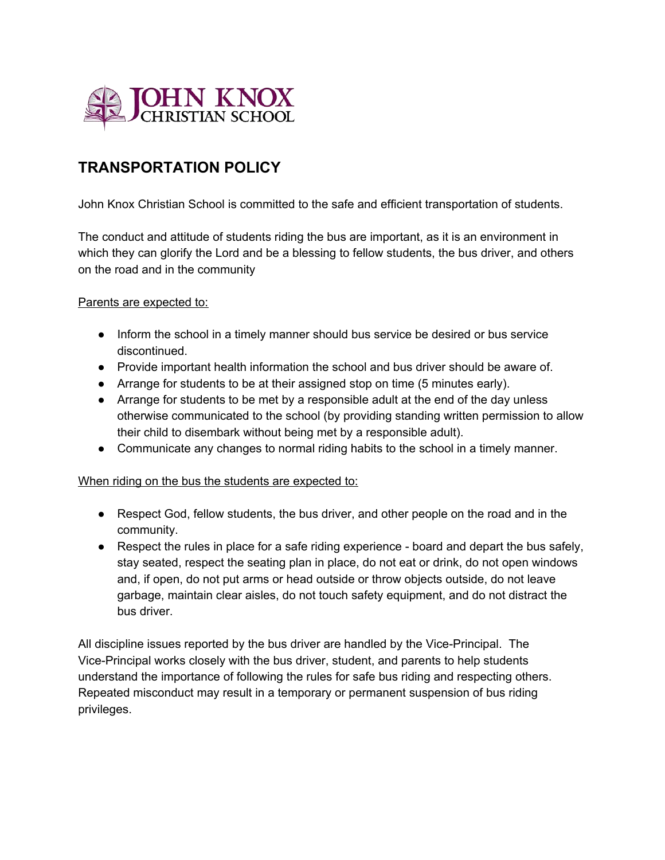

## **TRANSPORTATION POLICY**

John Knox Christian School is committed to the safe and efficient transportation of students.

The conduct and attitude of students riding the bus are important, as it is an environment in which they can glorify the Lord and be a blessing to fellow students, the bus driver, and others on the road and in the community

## Parents are expected to:

- Inform the school in a timely manner should bus service be desired or bus service discontinued.
- Provide important health information the school and bus driver should be aware of.
- Arrange for students to be at their assigned stop on time (5 minutes early).
- Arrange for students to be met by a responsible adult at the end of the day unless otherwise communicated to the school (by providing standing written permission to allow their child to disembark without being met by a responsible adult).
- Communicate any changes to normal riding habits to the school in a timely manner.

## When riding on the bus the students are expected to:

- Respect God, fellow students, the bus driver, and other people on the road and in the community.
- $\bullet$  Respect the rules in place for a safe riding experience board and depart the bus safely, stay seated, respect the seating plan in place, do not eat or drink, do not open windows and, if open, do not put arms or head outside or throw objects outside, do not leave garbage, maintain clear aisles, do not touch safety equipment, and do not distract the bus driver.

All discipline issues reported by the bus driver are handled by the Vice-Principal. The Vice-Principal works closely with the bus driver, student, and parents to help students understand the importance of following the rules for safe bus riding and respecting others. Repeated misconduct may result in a temporary or permanent suspension of bus riding privileges.